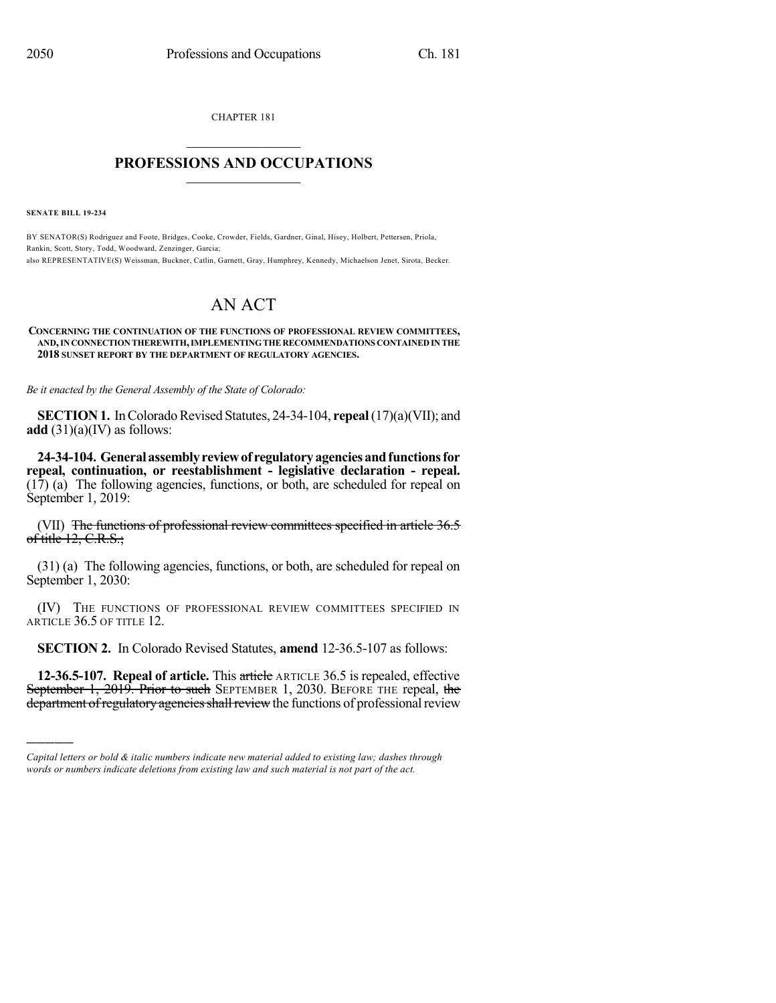CHAPTER 181

## $\mathcal{L}_\text{max}$  . The set of the set of the set of the set of the set of the set of the set of the set of the set of the set of the set of the set of the set of the set of the set of the set of the set of the set of the set **PROFESSIONS AND OCCUPATIONS**  $\frac{1}{2}$  ,  $\frac{1}{2}$  ,  $\frac{1}{2}$  ,  $\frac{1}{2}$  ,  $\frac{1}{2}$  ,  $\frac{1}{2}$  ,  $\frac{1}{2}$

**SENATE BILL 19-234**

)))))

BY SENATOR(S) Rodriguez and Foote, Bridges, Cooke, Crowder, Fields, Gardner, Ginal, Hisey, Holbert, Pettersen, Priola, Rankin, Scott, Story, Todd, Woodward, Zenzinger, Garcia; also REPRESENTATIVE(S) Weissman, Buckner, Catlin, Garnett, Gray, Humphrey, Kennedy, Michaelson Jenet, Sirota, Becker.

## AN ACT

## **CONCERNING THE CONTINUATION OF THE FUNCTIONS OF PROFESSIONAL REVIEW COMMITTEES, AND,INCONNECTIONTHEREWITH,IMPLEMENTINGTHERECOMMENDATIONS CONTAINEDINTHE 2018 SUNSET REPORT BY THE DEPARTMENT OF REGULATORY AGENCIES.**

*Be it enacted by the General Assembly of the State of Colorado:*

**SECTION 1.** In Colorado Revised Statutes, 24-34-104, **repeal** (17)(a)(VII); and **add**  $(31)(a)(IV)$  as follows:

**24-34-104. Generalassemblyreviewof regulatoryagenciesandfunctionsfor repeal, continuation, or reestablishment - legislative declaration - repeal.** (17) (a) The following agencies, functions, or both, are scheduled for repeal on September 1, 2019:

(VII) The functions of professional review committees specified in article 36.5 of title  $12, C.R.S.$ ;

(31) (a) The following agencies, functions, or both, are scheduled for repeal on September 1, 2030:

(IV) THE FUNCTIONS OF PROFESSIONAL REVIEW COMMITTEES SPECIFIED IN ARTICLE 36.5 OF TITLE 12.

**SECTION 2.** In Colorado Revised Statutes, **amend** 12-36.5-107 as follows:

**12-36.5-107. Repeal of article.** This article ARTICLE 36.5 is repealed, effective September 1, 2019. Prior to such SEPTEMBER 1, 2030. BEFORE THE repeal, the department of regulatory agencies shall review the functions of professional review

*Capital letters or bold & italic numbers indicate new material added to existing law; dashes through words or numbers indicate deletions from existing law and such material is not part of the act.*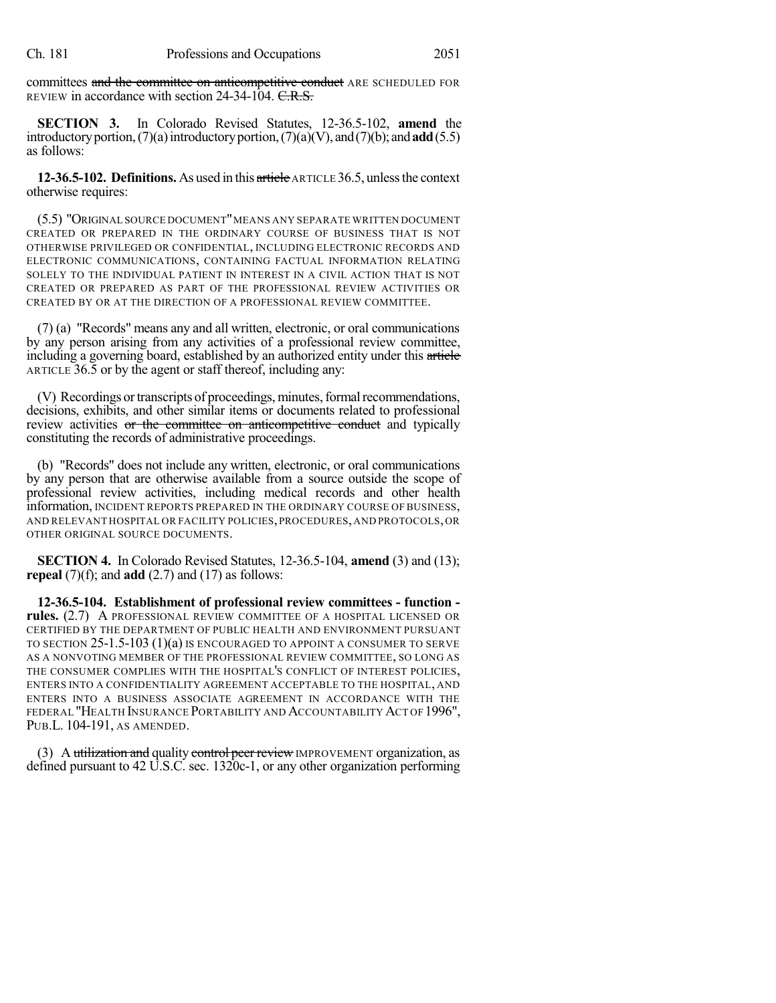committees and the committee on anticompetitive conduct ARE SCHEDULED FOR REVIEW in accordance with section 24-34-104. C.R.S.

**SECTION 3.** In Colorado Revised Statutes, 12-36.5-102, **amend** the introductory portion,  $(7)(a)$  introductory portion,  $(7)(a)(V)$ , and  $(7)(b)$ ; and **add** $(5.5)$ as follows:

**12-36.5-102. Definitions.** As used in this article ARTICLE 36.5, unlessthe context otherwise requires:

(5.5) "ORIGINAL SOURCE DOCUMENT"MEANS ANY SEPARATE WRITTEN DOCUMENT CREATED OR PREPARED IN THE ORDINARY COURSE OF BUSINESS THAT IS NOT OTHERWISE PRIVILEGED OR CONFIDENTIAL, INCLUDING ELECTRONIC RECORDS AND ELECTRONIC COMMUNICATIONS, CONTAINING FACTUAL INFORMATION RELATING SOLELY TO THE INDIVIDUAL PATIENT IN INTEREST IN A CIVIL ACTION THAT IS NOT CREATED OR PREPARED AS PART OF THE PROFESSIONAL REVIEW ACTIVITIES OR CREATED BY OR AT THE DIRECTION OF A PROFESSIONAL REVIEW COMMITTEE.

(7) (a) "Records" means any and all written, electronic, or oral communications by any person arising from any activities of a professional review committee, including a governing board, established by an authorized entity under this article ARTICLE 36.5 or by the agent or staff thereof, including any:

(V) Recordings or transcripts of proceedings, minutes, formal recommendations, decisions, exhibits, and other similar items or documents related to professional review activities or the committee on anticompetitive conduct and typically constituting the records of administrative proceedings.

(b) "Records" does not include any written, electronic, or oral communications by any person that are otherwise available from a source outside the scope of professional review activities, including medical records and other health information, INCIDENT REPORTS PREPARED IN THE ORDINARY COURSE OF BUSINESS, AND RELEVANT HOSPITAL OR FACILITY POLICIES, PROCEDURES, AND PROTOCOLS,OR OTHER ORIGINAL SOURCE DOCUMENTS.

**SECTION 4.** In Colorado Revised Statutes, 12-36.5-104, **amend** (3) and (13); **repeal**  $(7)(f)$ ; and **add**  $(2.7)$  and  $(17)$  as follows:

**12-36.5-104. Establishment of professional review committees - function rules.** (2.7) A PROFESSIONAL REVIEW COMMITTEE OF A HOSPITAL LICENSED OR CERTIFIED BY THE DEPARTMENT OF PUBLIC HEALTH AND ENVIRONMENT PURSUANT TO SECTION 25-1.5-103 (1)(a) IS ENCOURAGED TO APPOINT A CONSUMER TO SERVE AS A NONVOTING MEMBER OF THE PROFESSIONAL REVIEW COMMITTEE, SO LONG AS THE CONSUMER COMPLIES WITH THE HOSPITAL'S CONFLICT OF INTEREST POLICIES, ENTERS INTO A CONFIDENTIALITY AGREEMENT ACCEPTABLE TO THE HOSPITAL, AND ENTERS INTO A BUSINESS ASSOCIATE AGREEMENT IN ACCORDANCE WITH THE FEDERAL "HEALTH INSURANCE PORTABILITY AND ACCOUNTABILITY ACT OF 1996", PUB.L. 104-191, AS AMENDED.

(3) A utilization and quality control peer review IMPROVEMENT organization, as defined pursuant to 42 U.S.C. sec. 1320c-1, or any other organization performing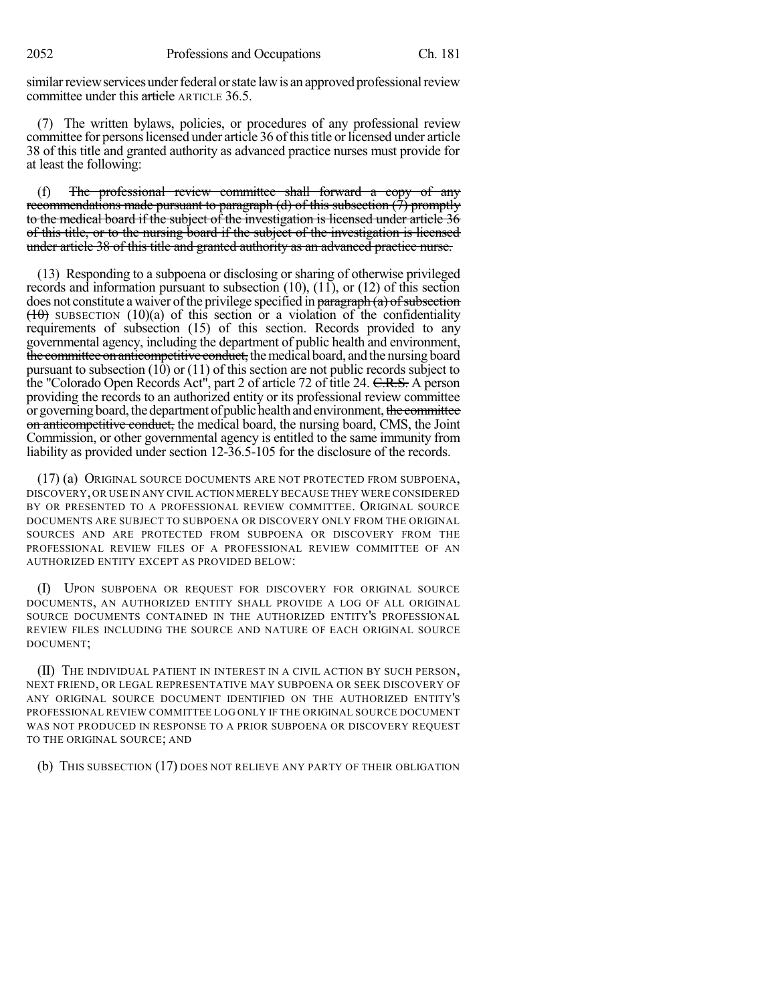similar review services under federal or state law is an approved professional review committee under this article ARTICLE 36.5.

(7) The written bylaws, policies, or procedures of any professional review committee for persons licensed under article 36 of this title or licensed under article 38 of this title and granted authority as advanced practice nurses must provide for at least the following:

(f) The professional review committee shall forward a copy of any recommendations made pursuant to paragraph (d) of this subsection (7) promptly to the medical board if the subject of the investigation is licensed under article 36 of this title, or to the nursing board if the subject of the investigation is licensed under article 38 of this title and granted authority as an advanced practice nurse.

(13) Responding to a subpoena or disclosing or sharing of otherwise privileged records and information pursuant to subsection (10), (11), or (12) of this section does not constitute a waiver of the privilege specified in  $\frac{\text{parameter of}}{\text{mean}}$  of subsection  $(10)$  SUBSECTION (10)(a) of this section or a violation of the confidentiality requirements of subsection (15) of this section. Records provided to any governmental agency, including the department of public health and environment, the committee on anticompetitive conduct, the medical board, and the nursing board pursuant to subsection (10) or (11) of this section are not public records subject to the "Colorado Open Records Act", part 2 of article 72 of title 24. C.R.S. A person providing the records to an authorized entity or its professional review committee or governing board, the department of public health and environment, the committee on anticompetitive conduct, the medical board, the nursing board, CMS, the Joint Commission, or other governmental agency is entitled to the same immunity from liability as provided under section 12-36.5-105 for the disclosure of the records.

(17) (a) ORIGINAL SOURCE DOCUMENTS ARE NOT PROTECTED FROM SUBPOENA, DISCOVERY,OR USE IN ANY CIVIL ACTION MERELY BECAUSE THEY WERE CONSIDERED BY OR PRESENTED TO A PROFESSIONAL REVIEW COMMITTEE. ORIGINAL SOURCE DOCUMENTS ARE SUBJECT TO SUBPOENA OR DISCOVERY ONLY FROM THE ORIGINAL SOURCES AND ARE PROTECTED FROM SUBPOENA OR DISCOVERY FROM THE PROFESSIONAL REVIEW FILES OF A PROFESSIONAL REVIEW COMMITTEE OF AN AUTHORIZED ENTITY EXCEPT AS PROVIDED BELOW:

(I) UPON SUBPOENA OR REQUEST FOR DISCOVERY FOR ORIGINAL SOURCE DOCUMENTS, AN AUTHORIZED ENTITY SHALL PROVIDE A LOG OF ALL ORIGINAL SOURCE DOCUMENTS CONTAINED IN THE AUTHORIZED ENTITY'S PROFESSIONAL REVIEW FILES INCLUDING THE SOURCE AND NATURE OF EACH ORIGINAL SOURCE DOCUMENT;

(II) THE INDIVIDUAL PATIENT IN INTEREST IN A CIVIL ACTION BY SUCH PERSON, NEXT FRIEND, OR LEGAL REPRESENTATIVE MAY SUBPOENA OR SEEK DISCOVERY OF ANY ORIGINAL SOURCE DOCUMENT IDENTIFIED ON THE AUTHORIZED ENTITY'S PROFESSIONAL REVIEW COMMITTEE LOG ONLY IF THE ORIGINAL SOURCE DOCUMENT WAS NOT PRODUCED IN RESPONSE TO A PRIOR SUBPOENA OR DISCOVERY REQUEST TO THE ORIGINAL SOURCE; AND

(b) THIS SUBSECTION (17) DOES NOT RELIEVE ANY PARTY OF THEIR OBLIGATION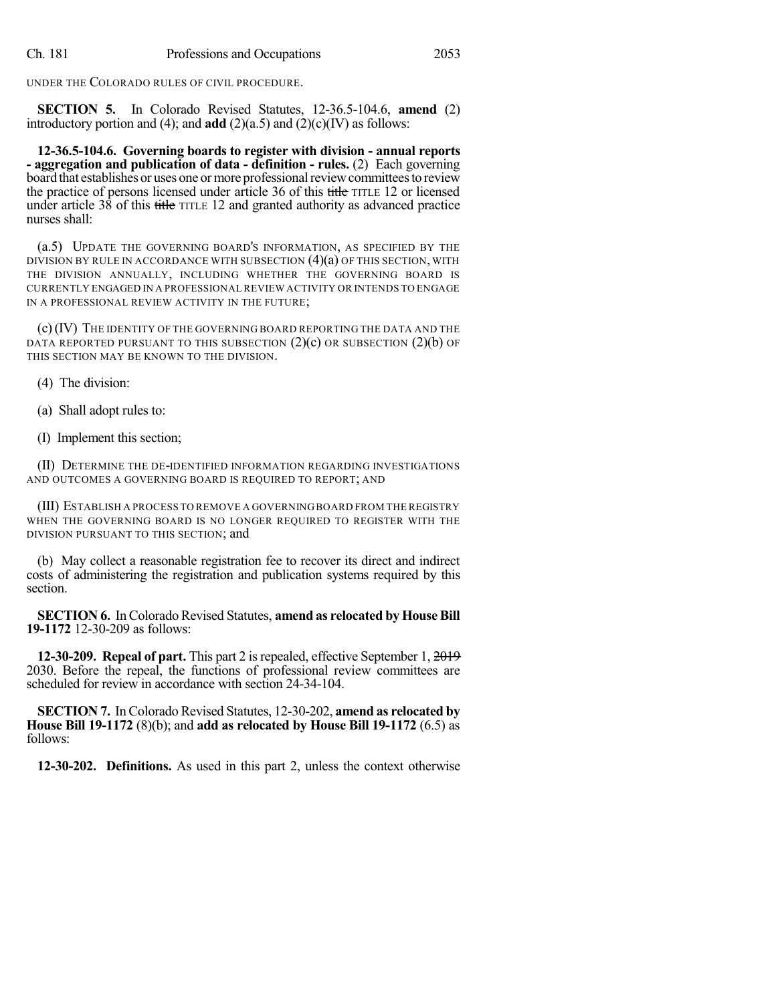UNDER THE COLORADO RULES OF CIVIL PROCEDURE.

**SECTION 5.** In Colorado Revised Statutes, 12-36.5-104.6, **amend** (2) introductory portion and (4); and **add** (2)(a.5) and (2)(c)(IV) as follows:

**12-36.5-104.6. Governing boards to register with division - annual reports - aggregation and publication of data - definition - rules.** (2) Each governing board that establishes or uses one or more professional review committees to review the practice of persons licensed under article 36 of this title TITLE 12 or licensed under article  $3\bar{8}$  of this title TITLE 12 and granted authority as advanced practice nurses shall:

(a.5) UPDATE THE GOVERNING BOARD'S INFORMATION, AS SPECIFIED BY THE DIVISION BY RULE IN ACCORDANCE WITH SUBSECTION  $(4)(a)$  of this section, with THE DIVISION ANNUALLY, INCLUDING WHETHER THE GOVERNING BOARD IS CURRENTLY ENGAGED IN A PROFESSIONAL REVIEW ACTIVITY OR INTENDS TO ENGAGE IN A PROFESSIONAL REVIEW ACTIVITY IN THE FUTURE;

(c)(IV) THE IDENTITY OF THE GOVERNING BOARD REPORTING THE DATA AND THE DATA REPORTED PURSUANT TO THIS SUBSECTION  $(2)(c)$  OR SUBSECTION  $(2)(b)$  OF THIS SECTION MAY BE KNOWN TO THE DIVISION.

(4) The division:

- (a) Shall adopt rules to:
- (I) Implement this section;

(II) DETERMINE THE DE-IDENTIFIED INFORMATION REGARDING INVESTIGATIONS AND OUTCOMES A GOVERNING BOARD IS REQUIRED TO REPORT; AND

(III) ESTABLISH A PROCESS TO REMOVE A GOVERNING BOARD FROM THE REGISTRY WHEN THE GOVERNING BOARD IS NO LONGER REQUIRED TO REGISTER WITH THE DIVISION PURSUANT TO THIS SECTION; and

(b) May collect a reasonable registration fee to recover its direct and indirect costs of administering the registration and publication systems required by this section.

**SECTION 6.** In Colorado Revised Statutes, **amend** as relocated by House Bill **19-1172** 12-30-209 as follows:

**12-30-209. Repeal of part.** This part 2 isrepealed, effective September 1, 2019 2030. Before the repeal, the functions of professional review committees are scheduled for review in accordance with section 24-34-104.

**SECTION 7.** In Colorado Revised Statutes, 12-30-202, **amend as relocated by House Bill 19-1172** (8)(b); and **add as relocated by House Bill 19-1172** (6.5) as follows:

**12-30-202. Definitions.** As used in this part 2, unless the context otherwise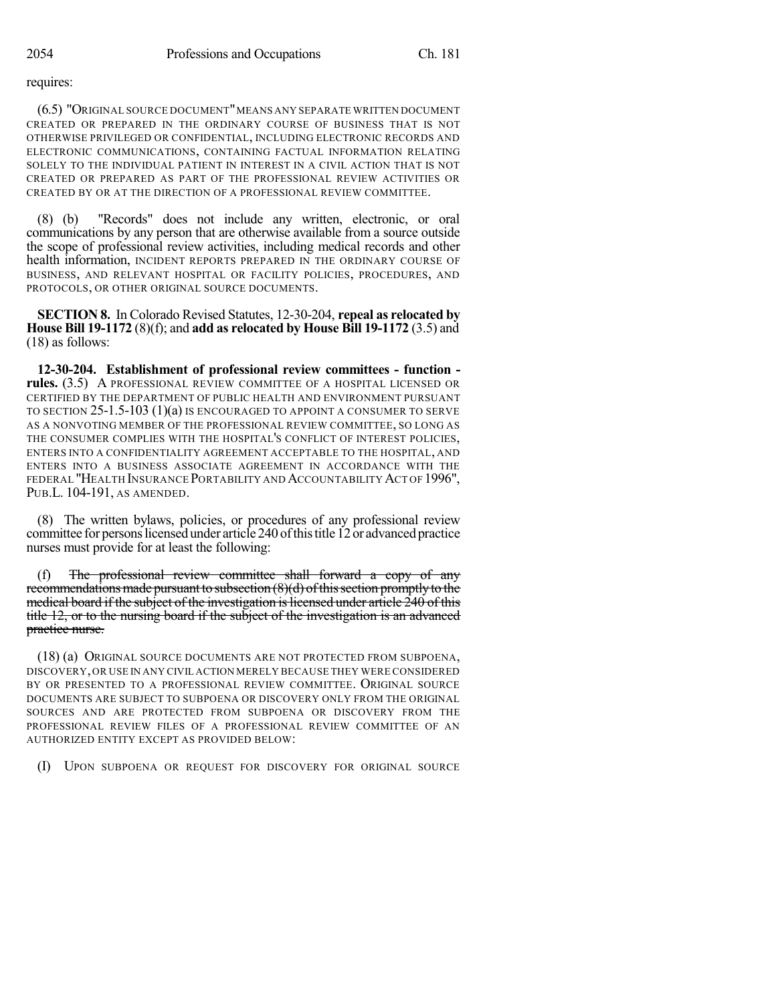requires:

(6.5) "ORIGINAL SOURCE DOCUMENT"MEANS ANY SEPARATE WRITTEN DOCUMENT CREATED OR PREPARED IN THE ORDINARY COURSE OF BUSINESS THAT IS NOT OTHERWISE PRIVILEGED OR CONFIDENTIAL, INCLUDING ELECTRONIC RECORDS AND ELECTRONIC COMMUNICATIONS, CONTAINING FACTUAL INFORMATION RELATING SOLELY TO THE INDIVIDUAL PATIENT IN INTEREST IN A CIVIL ACTION THAT IS NOT CREATED OR PREPARED AS PART OF THE PROFESSIONAL REVIEW ACTIVITIES OR CREATED BY OR AT THE DIRECTION OF A PROFESSIONAL REVIEW COMMITTEE.

(8) (b) "Records" does not include any written, electronic, or oral communications by any person that are otherwise available from a source outside the scope of professional review activities, including medical records and other health information, INCIDENT REPORTS PREPARED IN THE ORDINARY COURSE OF BUSINESS, AND RELEVANT HOSPITAL OR FACILITY POLICIES, PROCEDURES, AND PROTOCOLS, OR OTHER ORIGINAL SOURCE DOCUMENTS.

**SECTION 8.** In Colorado Revised Statutes, 12-30-204, **repeal as relocated by House Bill 19-1172** (8)(f); and **add as relocated by House Bill 19-1172** (3.5) and (18) as follows:

**12-30-204. Establishment of professional review committees - function rules.** (3.5) A PROFESSIONAL REVIEW COMMITTEE OF A HOSPITAL LICENSED OR CERTIFIED BY THE DEPARTMENT OF PUBLIC HEALTH AND ENVIRONMENT PURSUANT TO SECTION 25-1.5-103 (1)(a) IS ENCOURAGED TO APPOINT A CONSUMER TO SERVE AS A NONVOTING MEMBER OF THE PROFESSIONAL REVIEW COMMITTEE, SO LONG AS THE CONSUMER COMPLIES WITH THE HOSPITAL'S CONFLICT OF INTEREST POLICIES, ENTERS INTO A CONFIDENTIALITY AGREEMENT ACCEPTABLE TO THE HOSPITAL, AND ENTERS INTO A BUSINESS ASSOCIATE AGREEMENT IN ACCORDANCE WITH THE FEDERAL "HEALTH INSURANCE PORTABILITY AND ACCOUNTABILITY ACT OF 1996", PUB.L. 104-191, AS AMENDED.

(8) The written bylaws, policies, or procedures of any professional review committee for personslicensed under article 240 ofthistitle 12or advancedpractice nurses must provide for at least the following:

(f) The professional review committee shall forward a copy of any recommendations made pursuant to subsection  $(8)(d)$  of this section promptly to the medical board if the subject of the investigation is licensed under article 240 of this title 12, or to the nursing board if the subject of the investigation is an advanced practice nurse.

(18) (a) ORIGINAL SOURCE DOCUMENTS ARE NOT PROTECTED FROM SUBPOENA, DISCOVERY,OR USE IN ANY CIVIL ACTION MERELY BECAUSE THEY WERE CONSIDERED BY OR PRESENTED TO A PROFESSIONAL REVIEW COMMITTEE. ORIGINAL SOURCE DOCUMENTS ARE SUBJECT TO SUBPOENA OR DISCOVERY ONLY FROM THE ORIGINAL SOURCES AND ARE PROTECTED FROM SUBPOENA OR DISCOVERY FROM THE PROFESSIONAL REVIEW FILES OF A PROFESSIONAL REVIEW COMMITTEE OF AN AUTHORIZED ENTITY EXCEPT AS PROVIDED BELOW:

(I) UPON SUBPOENA OR REQUEST FOR DISCOVERY FOR ORIGINAL SOURCE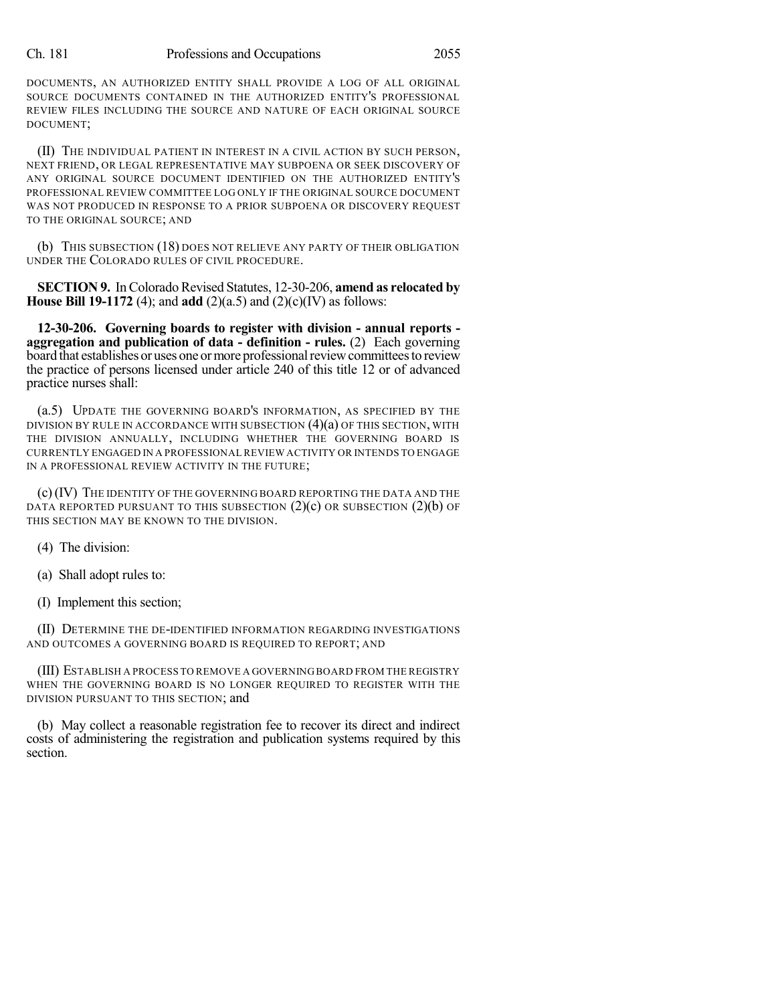DOCUMENTS, AN AUTHORIZED ENTITY SHALL PROVIDE A LOG OF ALL ORIGINAL SOURCE DOCUMENTS CONTAINED IN THE AUTHORIZED ENTITY'S PROFESSIONAL REVIEW FILES INCLUDING THE SOURCE AND NATURE OF EACH ORIGINAL SOURCE DOCUMENT;

(II) THE INDIVIDUAL PATIENT IN INTEREST IN A CIVIL ACTION BY SUCH PERSON, NEXT FRIEND, OR LEGAL REPRESENTATIVE MAY SUBPOENA OR SEEK DISCOVERY OF ANY ORIGINAL SOURCE DOCUMENT IDENTIFIED ON THE AUTHORIZED ENTITY'S PROFESSIONAL REVIEW COMMITTEE LOG ONLY IF THE ORIGINAL SOURCE DOCUMENT WAS NOT PRODUCED IN RESPONSE TO A PRIOR SUBPOENA OR DISCOVERY REQUEST TO THE ORIGINAL SOURCE; AND

(b) THIS SUBSECTION (18) DOES NOT RELIEVE ANY PARTY OF THEIR OBLIGATION UNDER THE COLORADO RULES OF CIVIL PROCEDURE.

**SECTION 9.** In Colorado Revised Statutes, 12-30-206, **amend as relocated by House Bill 19-1172** (4); and **add** (2)(a.5) and (2)(c)(IV) as follows:

**12-30-206. Governing boards to register with division - annual reports aggregation and publication of data - definition - rules.** (2) Each governing board that establishes or uses one or more professional review committees to review the practice of persons licensed under article 240 of this title 12 or of advanced practice nurses shall:

(a.5) UPDATE THE GOVERNING BOARD'S INFORMATION, AS SPECIFIED BY THE DIVISION BY RULE IN ACCORDANCE WITH SUBSECTION (4)(a) OF THIS SECTION, WITH THE DIVISION ANNUALLY, INCLUDING WHETHER THE GOVERNING BOARD IS CURRENTLY ENGAGED IN A PROFESSIONAL REVIEW ACTIVITY OR INTENDS TO ENGAGE IN A PROFESSIONAL REVIEW ACTIVITY IN THE FUTURE;

(c)(IV) THE IDENTITY OF THE GOVERNING BOARD REPORTING THE DATA AND THE DATA REPORTED PURSUANT TO THIS SUBSECTION  $(2)(c)$  OR SUBSECTION  $(2)(b)$  OF THIS SECTION MAY BE KNOWN TO THE DIVISION.

(4) The division:

(a) Shall adopt rules to:

(I) Implement this section;

(II) DETERMINE THE DE-IDENTIFIED INFORMATION REGARDING INVESTIGATIONS AND OUTCOMES A GOVERNING BOARD IS REQUIRED TO REPORT; AND

(III) ESTABLISH A PROCESS TO REMOVE A GOVERNING BOARD FROM THE REGISTRY WHEN THE GOVERNING BOARD IS NO LONGER REQUIRED TO REGISTER WITH THE DIVISION PURSUANT TO THIS SECTION; and

(b) May collect a reasonable registration fee to recover its direct and indirect costs of administering the registration and publication systems required by this section.